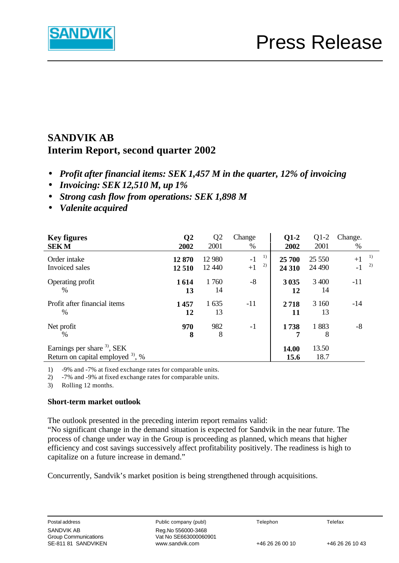

# **SANDVIK AB Interim Report, second quarter 2002**

- *Profit after financial items: SEK 1,457 M in the quarter, 12% of invoicing*
- *Invoicing: SEK 12,510 M, up 1%*
- *Strong cash flow from operations: SEK 1,898 M*
- *Valenite acquired*

| <b>Key figures</b><br><b>SEKM</b>                                                    | $\overline{Q}2$<br>2002 | Q <sub>2</sub><br>2001 | Change<br>%              | $Q1-2$<br>2002   | $Q1-2$<br>2001   | Change.<br>$\%$ |          |
|--------------------------------------------------------------------------------------|-------------------------|------------------------|--------------------------|------------------|------------------|-----------------|----------|
| Order intake<br>Invoiced sales                                                       | 12870<br>12 510         | 12 980<br>12 440       | 1)<br>$-1$<br>2)<br>$+1$ | 25 700<br>24 310 | 25 550<br>24 490 | $+1$<br>$-1$    | 1)<br>2) |
| Operating profit<br>$\%$                                                             | 1614<br>13              | 1760<br>14             | $-8$                     | 3035<br>12       | 3 400<br>14      | $-11$           |          |
| Profit after financial items<br>%                                                    | 1457<br>12              | 1 6 3 5<br>13          | $-11$                    | 2718<br>11       | 3 160<br>13      | $-14$           |          |
| Net profit<br>$\frac{0}{0}$                                                          | 970<br>8                | 982<br>8               | $-1$                     | 1738<br>7        | 1883<br>8        | -8              |          |
| Earnings per share <sup>3)</sup> , SEK<br>Return on capital employed $3^{\circ}$ , % |                         |                        |                          | 14.00<br>15.6    | 13.50<br>18.7    |                 |          |

1) -9% and -7% at fixed exchange rates for comparable units.

2) -7% and -9% at fixed exchange rates for comparable units.

3) Rolling 12 months.

### **Short-term market outlook**

The outlook presented in the preceding interim report remains valid:

"No significant change in the demand situation is expected for Sandvik in the near future. The process of change under way in the Group is proceeding as planned, which means that higher efficiency and cost savings successively affect profitability positively. The readiness is high to capitalize on a future increase in demand."

Concurrently, Sandvik's market position is being strengthened through acquisitions.

Postal address **Public company (publ)** Telephon Telefax Vat No SE663000060901 SE-811 81 SANDVIKEN www.sandvik.com +46 26 26 00 10 +46 26 26 10 43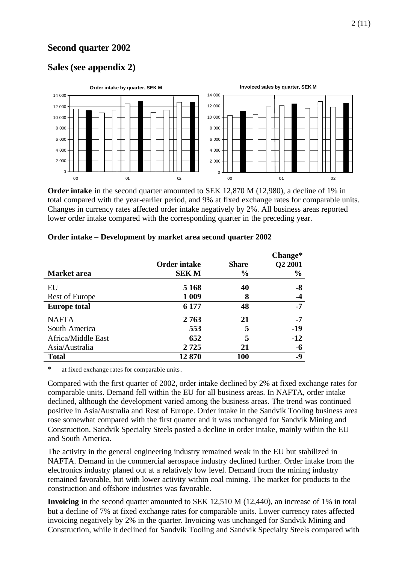# **Second quarter 2002**

# **Sales (see appendix 2)**



**Order intake** in the second quarter amounted to SEK 12,870 M (12,980), a decline of 1% in total compared with the year-earlier period, and 9% at fixed exchange rates for comparable units. Changes in currency rates affected order intake negatively by 2%. All business areas reported lower order intake compared with the corresponding quarter in the preceding year.

|                     |                     |               | Change*       |
|---------------------|---------------------|---------------|---------------|
|                     | <b>Order intake</b> | <b>Share</b>  | Q2 2001       |
| <b>Market</b> area  | <b>SEKM</b>         | $\frac{6}{9}$ | $\frac{0}{0}$ |
| EU                  | 5 1 6 8             | 40            | -8            |
| Rest of Europe      | 1 0 0 9             | 8             | -4            |
| <b>Europe total</b> | 6 177               | 48            | -7            |
| <b>NAFTA</b>        | 2763                | 21            | -7            |
| South America       | 553                 | 5             | $-19$         |
| Africa/Middle East  | 652                 | 5             | $-12$         |
| Asia/Australia      | 2725                | 21            | -6            |
| <b>Total</b>        | 12870               | <b>100</b>    | -9            |

#### **Order intake – Development by market area second quarter 2002**

\* at fixed exchange rates for comparable units.

Compared with the first quarter of 2002, order intake declined by 2% at fixed exchange rates for comparable units. Demand fell within the EU for all business areas. In NAFTA, order intake declined, although the development varied among the business areas. The trend was continued positive in Asia/Australia and Rest of Europe. Order intake in the Sandvik Tooling business area rose somewhat compared with the first quarter and it was unchanged for Sandvik Mining and Construction. Sandvik Specialty Steels posted a decline in order intake, mainly within the EU and South America.

The activity in the general engineering industry remained weak in the EU but stabilized in NAFTA. Demand in the commercial aerospace industry declined further. Order intake from the electronics industry planed out at a relatively low level. Demand from the mining industry remained favorable, but with lower activity within coal mining. The market for products to the construction and offshore industries was favorable.

**Invoicing** in the second quarter amounted to SEK 12,510 M (12,440), an increase of 1% in total but a decline of 7% at fixed exchange rates for comparable units. Lower currency rates affected invoicing negatively by 2% in the quarter. Invoicing was unchanged for Sandvik Mining and Construction, while it declined for Sandvik Tooling and Sandvik Specialty Steels compared with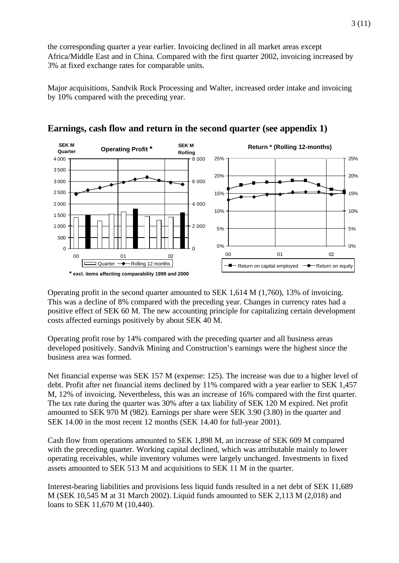the corresponding quarter a year earlier. Invoicing declined in all market areas except Africa/Middle East and in China. Compared with the first quarter 2002, invoicing increased by 3% at fixed exchange rates for comparable units.

Major acquisitions, Sandvik Rock Processing and Walter, increased order intake and invoicing by 10% compared with the preceding year.





Operating profit in the second quarter amounted to SEK 1,614 M (1,760), 13% of invoicing. This was a decline of 8% compared with the preceding year. Changes in currency rates had a positive effect of SEK 60 M. The new accounting principle for capitalizing certain development costs affected earnings positively by about SEK 40 M.

Operating profit rose by 14% compared with the preceding quarter and all business areas developed positively. Sandvik Mining and Construction's earnings were the highest since the business area was formed.

Net financial expense was SEK 157 M (expense: 125). The increase was due to a higher level of debt. Profit after net financial items declined by 11% compared with a year earlier to SEK 1,457 M, 12% of invoicing. Nevertheless, this was an increase of 16% compared with the first quarter. The tax rate during the quarter was 30% after a tax liability of SEK 120 M expired. Net profit amounted to SEK 970 M (982). Earnings per share were SEK 3.90 (3.80) in the quarter and SEK 14.00 in the most recent 12 months (SEK 14.40 for full-year 2001).

Cash flow from operations amounted to SEK 1,898 M, an increase of SEK 609 M compared with the preceding quarter. Working capital declined, which was attributable mainly to lower operating receivables, while inventory volumes were largely unchanged. Investments in fixed assets amounted to SEK 513 M and acquisitions to SEK 11 M in the quarter.

Interest-bearing liabilities and provisions less liquid funds resulted in a net debt of SEK 11,689 M (SEK 10,545 M at 31 March 2002). Liquid funds amounted to SEK 2,113 M (2,018) and loans to SEK 11,670 M (10,440).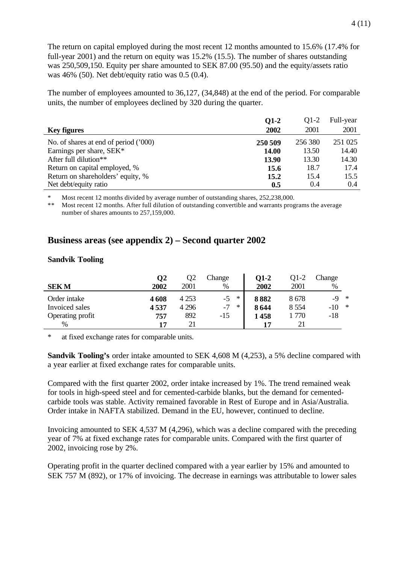The return on capital employed during the most recent 12 months amounted to 15.6% (17.4% for full-year 2001) and the return on equity was 15.2% (15.5). The number of shares outstanding was 250,509,150. Equity per share amounted to SEK 87.00 (95.50) and the equity/assets ratio was 46% (50). Net debt/equity ratio was 0.5 (0.4).

The number of employees amounted to 36,127, (34,848) at the end of the period. For comparable units, the number of employees declined by 320 during the quarter.

|                                       | $Q1-2$  | $Q1-2$  | Full-year |
|---------------------------------------|---------|---------|-----------|
| <b>Key figures</b>                    | 2002    | 2001    | 2001      |
| No. of shares at end of period ('000) | 250 509 | 256 380 | 251 025   |
| Earnings per share, SEK*              | 14.00   | 13.50   | 14.40     |
| After full dilution <sup>**</sup>     | 13.90   | 13.30   | 14.30     |
| Return on capital employed, %         | 15.6    | 18.7    | 17.4      |
| Return on shareholders' equity, %     | 15.2    | 15.4    | 15.5      |
| Net debt/equity ratio                 | 0.5     | 0.4     | 0.4       |

Most recent 12 months divided by average number of outstanding shares, 252,238,000.

Most recent 12 months. After full dilution of outstanding convertible and warrants programs the average number of shares amounts to 257,159,000.

## **Business areas (see appendix 2) – Second quarter 2002**

#### **Sandvik Tooling**

| <b>SEKM</b>                    | $\bf{O}2$<br>2002 | Q2<br>2001         | Change<br>%                      | $Q1-2$<br>2002 | 01-2<br>2001    | Change<br>%               |        |
|--------------------------------|-------------------|--------------------|----------------------------------|----------------|-----------------|---------------------------|--------|
| Order intake<br>Invoiced sales | 4608<br>4537      | 4 2 5 3<br>4 2 9 6 | $\ast$<br>$-5$<br>$-7$<br>$\ast$ | 8882<br>8644   | 8678<br>8 5 5 4 | $\ast$<br>-9<br>$-10^{-}$ | $\ast$ |
| Operating profit<br>%          | 757<br>17         | 892<br>21          | $-15$                            | 1458           | 1 770           | -18                       |        |

at fixed exchange rates for comparable units.

**Sandvik Tooling's** order intake amounted to SEK 4,608 M (4,253), a 5% decline compared with a year earlier at fixed exchange rates for comparable units.

Compared with the first quarter 2002, order intake increased by 1%. The trend remained weak for tools in high-speed steel and for cemented-carbide blanks, but the demand for cementedcarbide tools was stable. Activity remained favorable in Rest of Europe and in Asia/Australia. Order intake in NAFTA stabilized. Demand in the EU, however, continued to decline.

Invoicing amounted to SEK 4,537 M (4,296), which was a decline compared with the preceding year of 7% at fixed exchange rates for comparable units. Compared with the first quarter of 2002, invoicing rose by 2%.

Operating profit in the quarter declined compared with a year earlier by 15% and amounted to SEK 757 M (892), or 17% of invoicing. The decrease in earnings was attributable to lower sales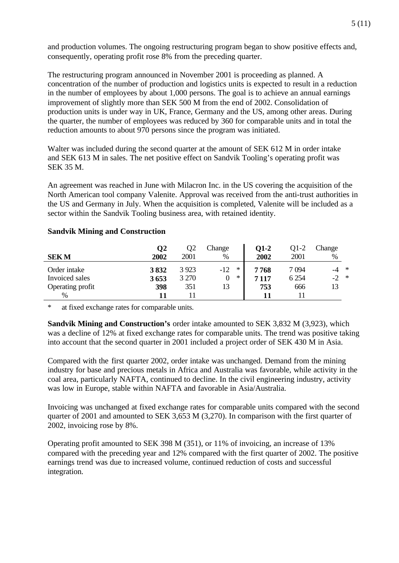and production volumes. The ongoing restructuring program began to show positive effects and, consequently, operating profit rose 8% from the preceding quarter.

The restructuring program announced in November 2001 is proceeding as planned. A concentration of the number of production and logistics units is expected to result in a reduction in the number of employees by about 1,000 persons. The goal is to achieve an annual earnings improvement of slightly more than SEK 500 M from the end of 2002. Consolidation of production units is under way in UK, France, Germany and the US, among other areas. During the quarter, the number of employees was reduced by 360 for comparable units and in total the reduction amounts to about 970 persons since the program was initiated.

Walter was included during the second quarter at the amount of SEK 612 M in order intake and SEK 613 M in sales. The net positive effect on Sandvik Tooling's operating profit was SEK 35 M.

An agreement was reached in June with Milacron Inc. in the US covering the acquisition of the North American tool company Valenite. Approval was received from the anti-trust authorities in the US and Germany in July. When the acquisition is completed, Valenite will be included as a sector within the Sandvik Tooling business area, with retained identity.

#### **Sandvik Mining and Construction**

|                  | $\mathbf{Q}$ | Q2      | Change          | 01-2 | Q1-2    | Change |        |
|------------------|--------------|---------|-----------------|------|---------|--------|--------|
| <b>SEKM</b>      | 2002         | 2001    | $\%$            | 2002 | 2001    | $\%$   |        |
| Order intake     | 3832         | 3 9 23  | $\ast$<br>$-12$ | 7768 | 7 094   |        | $\ast$ |
| Invoiced sales   | 3653         | 3 2 7 0 | ∗               | 7117 | 6 2 5 4 | $-2$   | *      |
| Operating profit | 398          | 351     | 13              | 753  | 666     | 13     |        |
| %                |              |         |                 |      |         |        |        |

at fixed exchange rates for comparable units.

**Sandvik Mining and Construction's** order intake amounted to SEK 3,832 M (3,923), which was a decline of 12% at fixed exchange rates for comparable units. The trend was positive taking into account that the second quarter in 2001 included a project order of SEK 430 M in Asia.

Compared with the first quarter 2002, order intake was unchanged. Demand from the mining industry for base and precious metals in Africa and Australia was favorable, while activity in the coal area, particularly NAFTA, continued to decline. In the civil engineering industry, activity was low in Europe, stable within NAFTA and favorable in Asia/Australia.

Invoicing was unchanged at fixed exchange rates for comparable units compared with the second quarter of 2001 and amounted to SEK 3,653 M (3,270). In comparison with the first quarter of 2002, invoicing rose by 8%.

Operating profit amounted to SEK 398 M (351), or 11% of invoicing, an increase of 13% compared with the preceding year and 12% compared with the first quarter of 2002. The positive earnings trend was due to increased volume, continued reduction of costs and successful integration.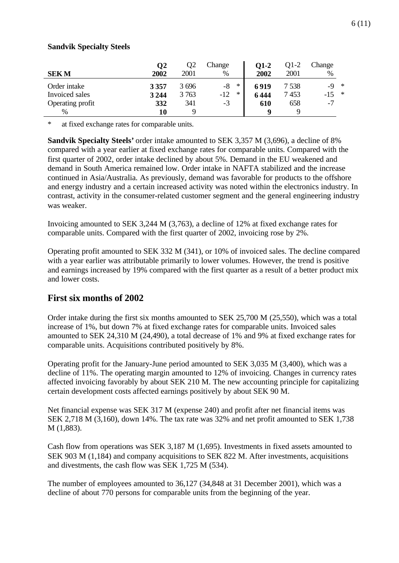#### **Sandvik Specialty Steels**

|                  | $\mathbf{Q}$ | Q2    | Change          | 01-2 | O1-2    | Change |               |
|------------------|--------------|-------|-----------------|------|---------|--------|---------------|
| <b>SEKM</b>      | 2002         | 2001  | $\%$            | 2002 | 2001    | %      |               |
| Order intake     | 3357         | 3 696 | $\ast$<br>$-8$  | 6919 | 7 5 3 8 | $-9$   | $\rightarrow$ |
| Invoiced sales   | 3 2 4 4      | 3 763 | $\ast$<br>$-12$ | 6444 | 7453    |        | $\ast$        |
| Operating profit | 332          | 341   | $-3$            | 610  | 658     | $-1$   |               |
| %                | 10           |       |                 |      |         |        |               |

\* at fixed exchange rates for comparable units.

**Sandvik Specialty Steels'** order intake amounted to SEK 3,357 M (3,696), a decline of 8% compared with a year earlier at fixed exchange rates for comparable units. Compared with the first quarter of 2002, order intake declined by about 5%. Demand in the EU weakened and demand in South America remained low. Order intake in NAFTA stabilized and the increase continued in Asia/Australia. As previously, demand was favorable for products to the offshore and energy industry and a certain increased activity was noted within the electronics industry. In contrast, activity in the consumer-related customer segment and the general engineering industry was weaker.

Invoicing amounted to SEK 3,244 M (3,763), a decline of 12% at fixed exchange rates for comparable units. Compared with the first quarter of 2002, invoicing rose by 2%.

Operating profit amounted to SEK 332 M (341), or 10% of invoiced sales. The decline compared with a year earlier was attributable primarily to lower volumes. However, the trend is positive and earnings increased by 19% compared with the first quarter as a result of a better product mix and lower costs.

## **First six months of 2002**

Order intake during the first six months amounted to SEK 25,700 M (25,550), which was a total increase of 1%, but down 7% at fixed exchange rates for comparable units. Invoiced sales amounted to SEK 24,310 M (24,490), a total decrease of 1% and 9% at fixed exchange rates for comparable units. Acquisitions contributed positively by 8%.

Operating profit for the January-June period amounted to SEK 3,035 M (3,400), which was a decline of 11%. The operating margin amounted to 12% of invoicing. Changes in currency rates affected invoicing favorably by about SEK 210 M. The new accounting principle for capitalizing certain development costs affected earnings positively by about SEK 90 M.

Net financial expense was SEK 317 M (expense 240) and profit after net financial items was SEK 2,718 M (3,160), down 14%. The tax rate was 32% and net profit amounted to SEK 1,738 M (1,883).

Cash flow from operations was SEK 3,187 M (1,695). Investments in fixed assets amounted to SEK 903 M (1,184) and company acquisitions to SEK 822 M. After investments, acquisitions and divestments, the cash flow was SEK 1,725 M (534).

The number of employees amounted to 36,127 (34,848 at 31 December 2001), which was a decline of about 770 persons for comparable units from the beginning of the year.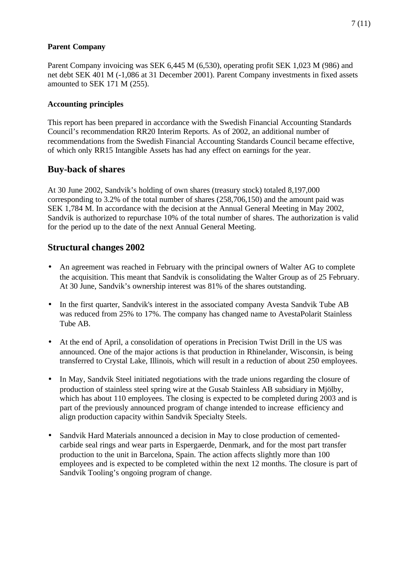## **Parent Company**

Parent Company invoicing was SEK 6,445 M (6,530), operating profit SEK 1,023 M (986) and net debt SEK 401 M (-1,086 at 31 December 2001). Parent Company investments in fixed assets amounted to SEK 171 M (255).

## **Accounting principles**

This report has been prepared in accordance with the Swedish Financial Accounting Standards Council's recommendation RR20 Interim Reports. As of 2002, an additional number of recommendations from the Swedish Financial Accounting Standards Council became effective, of which only RR15 Intangible Assets has had any effect on earnings for the year.

## **Buy-back of shares**

At 30 June 2002, Sandvik's holding of own shares (treasury stock) totaled 8,197,000 corresponding to 3.2% of the total number of shares (258,706,150) and the amount paid was SEK 1,784 M. In accordance with the decision at the Annual General Meeting in May 2002, Sandvik is authorized to repurchase 10% of the total number of shares. The authorization is valid for the period up to the date of the next Annual General Meeting.

# **Structural changes 2002**

- An agreement was reached in February with the principal owners of Walter AG to complete the acquisition. This meant that Sandvik is consolidating the Walter Group as of 25 February. At 30 June, Sandvik's ownership interest was 81% of the shares outstanding.
- In the first quarter, Sandvik's interest in the associated company Avesta Sandvik Tube AB was reduced from 25% to 17%. The company has changed name to AvestaPolarit Stainless Tube AB.
- At the end of April, a consolidation of operations in Precision Twist Drill in the US was announced. One of the major actions is that production in Rhinelander, Wisconsin, is being transferred to Crystal Lake, Illinois, which will result in a reduction of about 250 employees.
- In May, Sandvik Steel initiated negotiations with the trade unions regarding the closure of production of stainless steel spring wire at the Gusab Stainless AB subsidiary in Mjölby, which has about 110 employees. The closing is expected to be completed during 2003 and is part of the previously announced program of change intended to increase efficiency and align production capacity within Sandvik Specialty Steels.
- Sandvik Hard Materials announced a decision in May to close production of cementedcarbide seal rings and wear parts in Espergaerde, Denmark, and for the most part transfer production to the unit in Barcelona, Spain. The action affects slightly more than 100 employees and is expected to be completed within the next 12 months. The closure is part of Sandvik Tooling's ongoing program of change.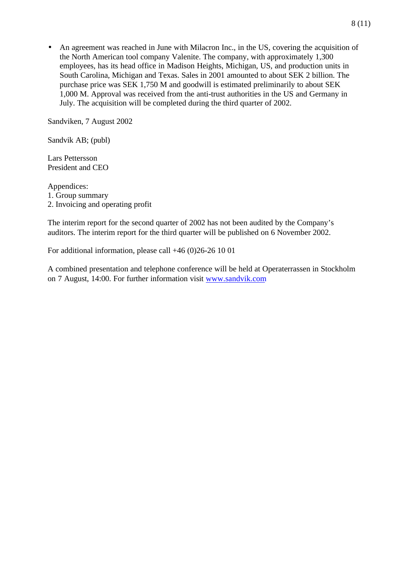• An agreement was reached in June with Milacron Inc., in the US, covering the acquisition of the North American tool company Valenite. The company, with approximately 1,300 employees, has its head office in Madison Heights, Michigan, US, and production units in South Carolina, Michigan and Texas. Sales in 2001 amounted to about SEK 2 billion. The purchase price was SEK 1,750 M and goodwill is estimated preliminarily to about SEK 1,000 M. Approval was received from the anti-trust authorities in the US and Germany in July. The acquisition will be completed during the third quarter of 2002.

Sandviken, 7 August 2002

Sandvik AB; (publ)

Lars Pettersson President and CEO

Appendices: 1. Group summary 2. Invoicing and operating profit

The interim report for the second quarter of 2002 has not been audited by the Company's auditors. The interim report for the third quarter will be published on 6 November 2002.

For additional information, please call +46 (0)26-26 10 01

A combined presentation and telephone conference will be held at Operaterrassen in Stockholm on 7 August, 14:00. For further information visit www.sandvik.com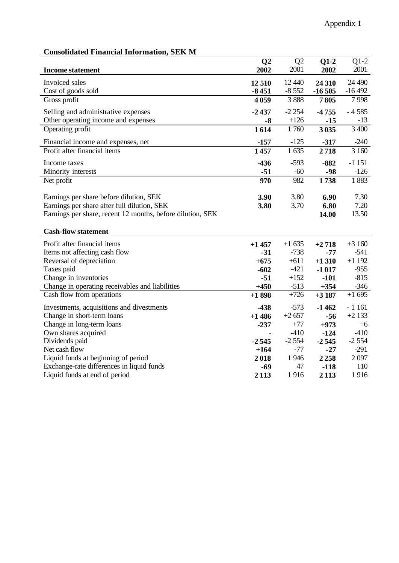# **Consolidated Financial Information, SEK M**

|                                                            | Q <sub>2</sub> | Q2      | $Q1-2$   | $Q1-2$   |
|------------------------------------------------------------|----------------|---------|----------|----------|
| <b>Income statement</b>                                    | 2002           | 2001    | 2002     | 2001     |
| Invoiced sales                                             | 12 510         | 12 440  | 24 310   | 24 490   |
| Cost of goods sold                                         | $-8451$        | $-8552$ | $-16505$ | $-16492$ |
| Gross profit                                               | 4059           | 3888    | 7805     | 7998     |
| Selling and administrative expenses                        | $-2437$        | $-2254$ | $-4755$  | $-4585$  |
| Other operating income and expenses                        | $-8$           | $+126$  | $-15$    | $-13$    |
| Operating profit                                           | 1614           | 1760    | 3 0 35   | 3 400    |
| Financial income and expenses, net                         | $-157$         | $-125$  | $-317$   | $-240$   |
| Profit after financial items                               | 1457           | 1 635   | 2718     | 3 160    |
| Income taxes                                               | $-436$         | $-593$  | $-882$   | $-1151$  |
| Minority interests                                         | $-51$          | $-60$   | $-98$    | $-126$   |
| Net profit                                                 | 970            | 982     | 1738     | 1883     |
|                                                            |                |         |          |          |
| Earnings per share before dilution, SEK                    | 3.90           | 3.80    | 6.90     | 7.30     |
| Earnings per share after full dilution, SEK                | 3.80           | 3.70    | 6.80     | 7.20     |
| Earnings per share, recent 12 months, before dilution, SEK |                |         | 14.00    | 13.50    |
| <b>Cash-flow statement</b>                                 |                |         |          |          |
|                                                            |                |         |          |          |
| Profit after financial items                               | $+1457$        | $+1635$ | $+2718$  | $+3160$  |
| Items not affecting cash flow                              | $-31$          | $-738$  | $-77$    | $-541$   |
| Reversal of depreciation                                   | $+675$         | $+611$  | $+1310$  | $+1192$  |
| Taxes paid                                                 | $-602$         | $-421$  | $-1017$  | $-955$   |
| Change in inventories                                      | $-51$          | $+152$  | $-101$   | $-815$   |
| Change in operating receivables and liabilities            | $+450$         | $-513$  | $+354$   | $-346$   |
| Cash flow from operations                                  | $+1898$        | $+726$  | $+3187$  | $+1695$  |
| Investments, acquisitions and divestments                  | $-438$         | $-573$  | $-1462$  | $-1161$  |
| Change in short-term loans                                 | $+1486$        | $+2657$ | $-56$    | $+2133$  |
| Change in long-term loans                                  | $-237$         | $+77$   | $+973$   | $+6$     |
| Own shares acquired                                        |                | $-410$  | $-124$   | $-410$   |
| Dividends paid                                             | $-2545$        | $-2554$ | $-2545$  | $-2554$  |
| Net cash flow                                              | $+164$         | $-77$   | $-27$    | $-291$   |
| Liquid funds at beginning of period                        | 2018           | 1946    | 2258     | 2097     |
| Exchange-rate differences in liquid funds                  | $-69$          | 47      | $-118$   | 110      |
| Liquid funds at end of period                              | 2 1 1 3        | 1916    | 2 1 1 3  | 1916     |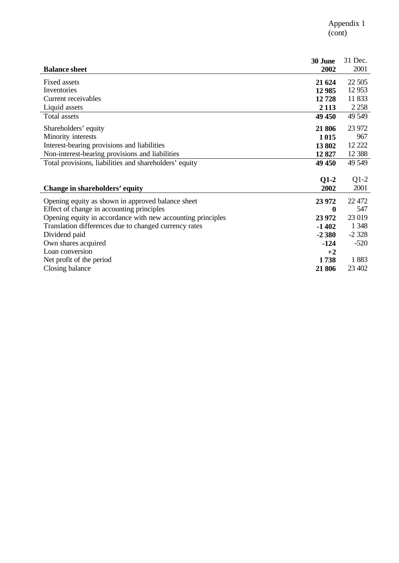| <b>Balance sheet</b>                                        | 30 June<br>2002 | 31 Dec.<br>2001 |
|-------------------------------------------------------------|-----------------|-----------------|
| Fixed assets                                                | 21 624          | 22 5 05         |
| Inventories                                                 | 12 9 85         | 12 9 53         |
| Current receivables                                         | 12728           | 11 833          |
| Liquid assets                                               | 2 1 1 3         | 2 2 5 8         |
| Total assets                                                | 49 450          | 49 549          |
| Shareholders' equity                                        | 21 806          | 23 972          |
| Minority interests                                          | 1015            | 967             |
| Interest-bearing provisions and liabilities                 | 13802           | 12 222          |
| Non-interest-bearing provisions and liabilities             | 12827           | 12 3 88         |
| Total provisions, liabilities and shareholders' equity      | 49 450          | 49 549          |
|                                                             |                 |                 |
|                                                             | $Q1-2$          | $Q1-2$          |
| Change in shareholders' equity                              | 2002            | 2001            |
| Opening equity as shown in approved balance sheet           | 23 972          | 22 472          |
| Effect of change in accounting principles                   | $\bf{0}$        | 547             |
| Opening equity in accordance with new accounting principles | 23 972          | 23 019          |
| Translation differences due to changed currency rates       | $-1402$         | 1 3 4 8         |
| Dividend paid                                               | $-2380$         | $-2328$         |
| Own shares acquired                                         | $-124$          | $-520$          |
| Loan conversion                                             | $+2$            |                 |
| Net profit of the period                                    | 1738            | 1883            |
| Closing balance                                             | 21 806          | 23 402          |